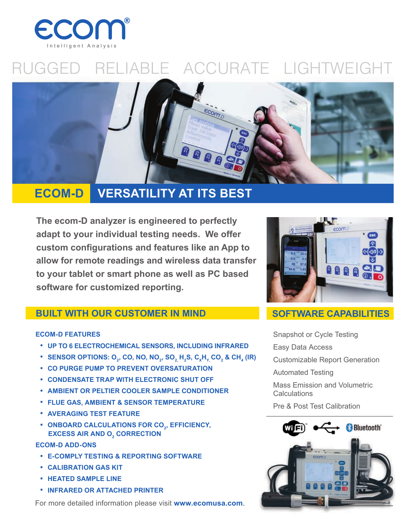

## RUGGED RELIABLE ACCURATE LIGHTWEIGHT



### **ECOM-D VERSATILITY AT ITS BEST**

**The ecom-D analyzer is engineered to perfectly adapt to your individual testing needs. We offer custom configurations and features like an App to allow for remote readings and wireless data transfer to your tablet or smart phone as well as PC based software for customized reporting.**

### **BUILT WITH OUR CUSTOMER IN MIND SOFTWARE CAPABILITIES**

### **ECOM-D FEATURES**

- **· UP TO 6 ELECTROCHEMICAL SENSORS, INCLUDING INFRARED**
- **SENSOR OPTIONS: O<sub>2</sub>, CO, NO, NO<sub>2</sub>, SO<sub>2</sub>, H<sub>2</sub>S, C<sub>x</sub>H<sub>Y,</sub> CO<sub>2</sub> & CH<sub>4</sub> (IR)**
- **· CO PURGE PUMP TO PREVENT OVERSATURATION**
- **· CONDENSATE TRAP WITH ELECTRONIC SHUT OFF**
- **· AMBIENT OR PELTIER COOLER SAMPLE CONDITIONER**
- **· FLUE GAS, AMBIENT & SENSOR TEMPERATURE**
- **· AVERAGING TEST FEATURE**
- **ONBOARD CALCULATIONS FOR CO<sub>2</sub>, EFFICIENCY,**<br> **EXCESS AIR AND O CORRECTION EXCESS AIR AND O** $_{2}$  **CORRECTION**

### **ECOM-D ADD-ONS**

- **· E-COMPLY TESTING & REPORTING SOFTWARE**
- **· CALIBRATION GAS KIT**
- **· HEATED SAMPLE LINE**
- **· INFRARED OR ATTACHED PRINTER**

For more detailed information please visit **www.ecomusa.com**.



Snapshot or Cycle Testing

- Easy Data Access
- Customizable Report Generation

Automated Testing

Mass Emission and Volumetric **Calculations** 

Pre & Post Test Calibration